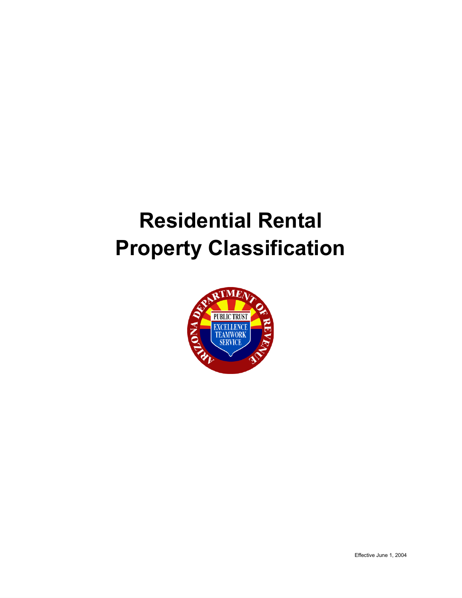# **Residential Rental Property Classification**

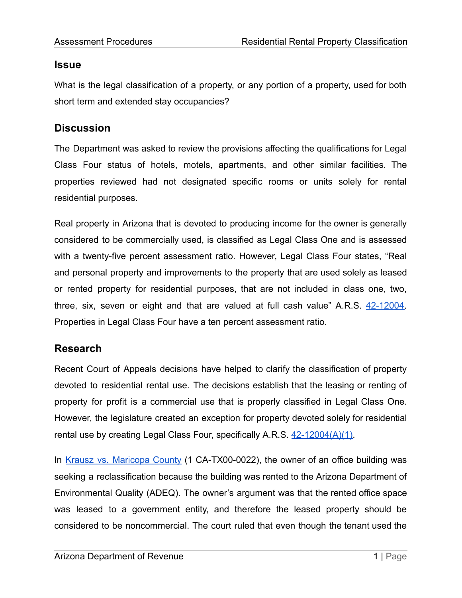#### **Issue**

What is the legal classification of a property, or any portion of a property, used for both short term and extended stay occupancies?

## **Discussion**

The Department was asked to review the provisions affecting the qualifications for Legal Class Four status of hotels, motels, apartments, and other similar facilities. The properties reviewed had not designated specific rooms or units solely for rental residential purposes.

Real property in Arizona that is devoted to producing income for the owner is generally considered to be commercially used, is classified as Legal Class One and is assessed with a twenty-five percent assessment ratio. However, Legal Class Four states, "Real and personal property and improvements to the property that are used solely as leased or rented property for residential purposes, that are not included in class one, two, three, six, seven or eight and that are valued at full cash value" A.R.S. [42-12004.](https://www.azleg.gov/viewDocument/?docName=http://www.azleg.gov/ars/42/12004.htm) Properties in Legal Class Four have a ten percent assessment ratio.

# **Research**

Recent Court of Appeals decisions have helped to clarify the classification of property devoted to residential rental use. The decisions establish that the leasing or renting of property for profit is a commercial use that is properly classified in Legal Class One. However, the legislature created an exception for property devoted solely for residential rental use by creating Legal Class Four, specifically A.R.S.  $42-12004(A)(1)$ .

In Krausz vs. [Maricopa](https://caselaw.findlaw.com/az-court-of-appeals/1369507.html) County (1 CA-TX00-0022), the owner of an office building was seeking a reclassification because the building was rented to the Arizona Department of Environmental Quality (ADEQ). The owner's argument was that the rented office space was leased to a government entity, and therefore the leased property should be considered to be noncommercial. The court ruled that even though the tenant used the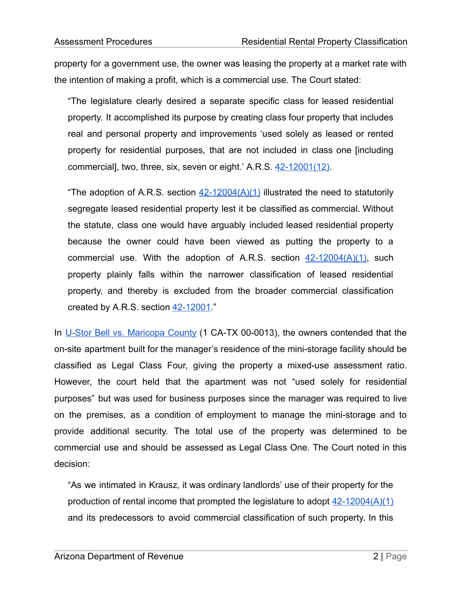property for a government use, the owner was leasing the property at a market rate with the intention of making a profit, which is a commercial use. The Court stated:

"The legislature clearly desired a separate specific class for leased residential property. It accomplished its purpose by creating class four property that includes real and personal property and improvements 'used solely as leased or rented property for residential purposes, that are not included in class one [including commercial], two, three, six, seven or eight.' A.R.S. [42-12001\(12\)](https://www.azleg.gov/viewDocument/?docName=http://www.azleg.gov/ars/42/12001.htm).

"The adoption of A.R.S. section  $42-12004(A)(1)$  illustrated the need to statutorily segregate leased residential property lest it be classified as commercial. Without the statute, class one would have arguably included leased residential property because the owner could have been viewed as putting the property to a commercial use. With the adoption of A.R.S. section  $42-12004(A)(1)$ , such property plainly falls within the narrower classification of leased residential property, and thereby is excluded from the broader commercial classification created by A.R.S. section [42-12001.](https://www.azleg.gov/viewDocument/?docName=http://www.azleg.gov/ars/42/12001.htm)"

In U-Stor Bell vs. [Maricopa](https://caselaw.findlaw.com/az-court-of-appeals/1270873.html) County (1 CA-TX 00-0013), the owners contended that the on-site apartment built for the manager's residence of the mini-storage facility should be classified as Legal Class Four, giving the property a mixed-use assessment ratio. However, the court held that the apartment was not "used solely for residential purposes" but was used for business purposes since the manager was required to live on the premises, as a condition of employment to manage the mini-storage and to provide additional security. The total use of the property was determined to be commercial use and should be assessed as Legal Class One. The Court noted in this decision:

"As we intimated in Krausz, it was ordinary landlords' use of their property for the production of rental income that prompted the legislature to adopt  $42-12004(A)(1)$ and its predecessors to avoid commercial classification of such property. In this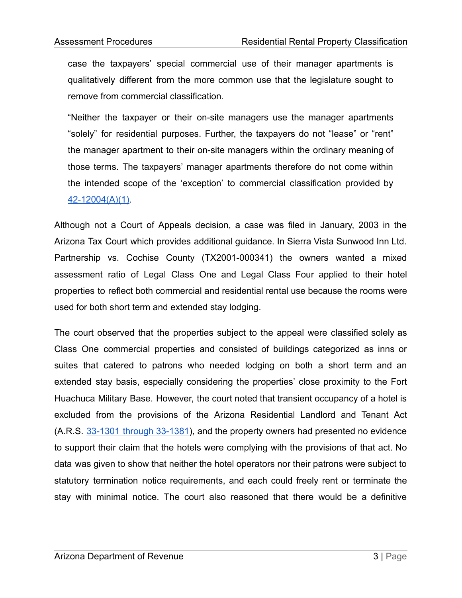case the taxpayers' special commercial use of their manager apartments is qualitatively different from the more common use that the legislature sought to remove from commercial classification.

"Neither the taxpayer or their on-site managers use the manager apartments "solely" for residential purposes. Further, the taxpayers do not "lease" or "rent" the manager apartment to their on-site managers within the ordinary meaning of those terms. The taxpayers' manager apartments therefore do not come within the intended scope of the 'exception' to commercial classification provided by [42-12004\(A\)\(1\).](https://www.azleg.gov/viewDocument/?docName=http://www.azleg.gov/ars/42/12004.htm)

Although not a Court of Appeals decision, a case was filed in January, 2003 in the Arizona Tax Court which provides additional guidance. In Sierra Vista Sunwood Inn Ltd. Partnership vs. Cochise County (TX2001-000341) the owners wanted a mixed assessment ratio of Legal Class One and Legal Class Four applied to their hotel properties to reflect both commercial and residential rental use because the rooms were used for both short term and extended stay lodging.

The court observed that the properties subject to the appeal were classified solely as Class One commercial properties and consisted of buildings categorized as inns or suites that catered to patrons who needed lodging on both a short term and an extended stay basis, especially considering the properties' close proximity to the Fort Huachuca Military Base. However, the court noted that transient occupancy of a hotel is excluded from the provisions of the Arizona Residential Landlord and Tenant Act (A.R.S. 33-1301 through [33-1381\)](https://www.azleg.gov/viewDocument/?docName=http://www.azleg.gov/ars/33/01301.htm), and the property owners had presented no evidence to support their claim that the hotels were complying with the provisions of that act. No data was given to show that neither the hotel operators nor their patrons were subject to statutory termination notice requirements, and each could freely rent or terminate the stay with minimal notice. The court also reasoned that there would be a definitive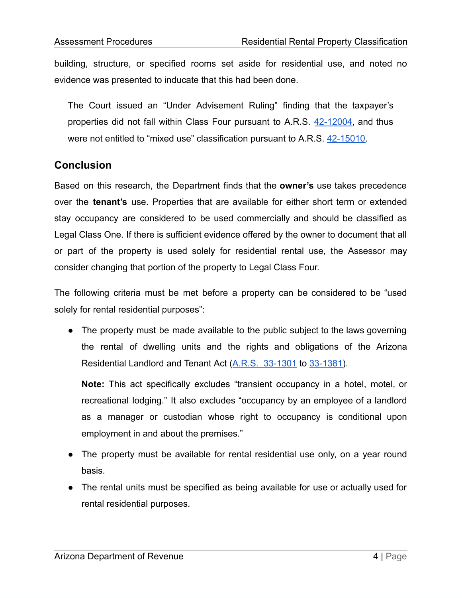building, structure, or specified rooms set aside for residential use, and noted no evidence was presented to inducate that this had been done.

The Court issued an "Under Advisement Ruling" finding that the taxpayer's properties did not fall within Class Four pursuant to A.R.S. [42-12004](https://www.azleg.gov/viewDocument/?docName=http://www.azleg.gov/ars/42/12004.htm), and thus were not entitled to "mixed use" classification pursuant to A.R.S. [42-15010](https://www.azleg.gov/viewDocument/?docName=http://www.azleg.gov/ars/42/15010.htm).

### **Conclusion**

Based on this research, the Department finds that the **owner's** use takes precedence over the **tenant's** use. Properties that are available for either short term or extended stay occupancy are considered to be used commercially and should be classified as Legal Class One. If there is sufficient evidence offered by the owner to document that all or part of the property is used solely for residential rental use, the Assessor may consider changing that portion of the property to Legal Class Four.

The following criteria must be met before a property can be considered to be "used solely for rental residential purposes":

● The property must be made available to the public subject to the laws governing the rental of dwelling units and the rights and obligations of the Arizona Residential Landlord and Tenant Act [\(A.R.S. 33-1301](https://www.azleg.gov/viewDocument/?docName=http://www.azleg.gov/ars/33/01301.htm) to [33-1381](https://www.azleg.gov/viewDocument/?docName=http://www.azleg.gov/ars/33/01381.htm)).

**Note:** This act specifically excludes "transient occupancy in a hotel, motel, or recreational lodging." It also excludes "occupancy by an employee of a landlord as a manager or custodian whose right to occupancy is conditional upon employment in and about the premises."

- The property must be available for rental residential use only, on a year round basis.
- The rental units must be specified as being available for use or actually used for rental residential purposes.